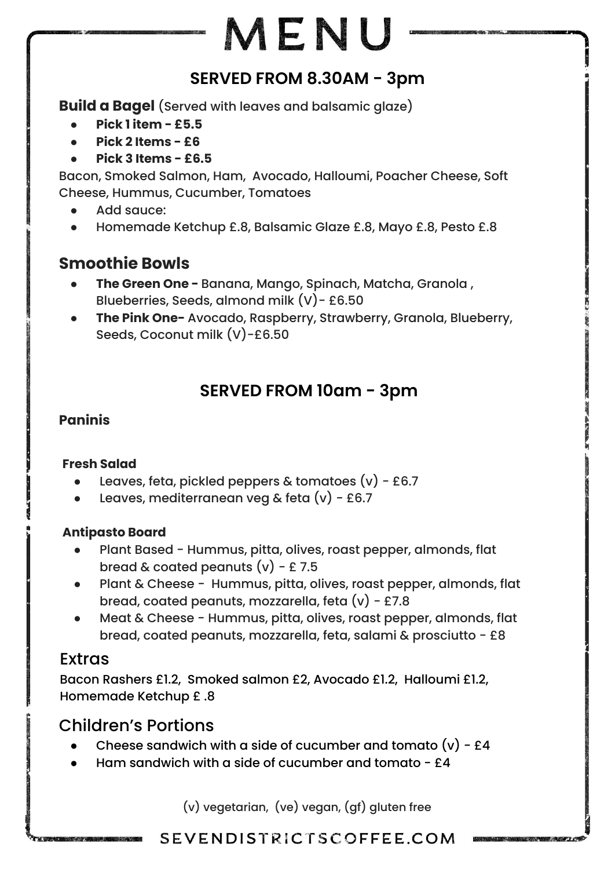# MENU

## **SERVED FROM 8.30AM - 3pm**

**Build a Bagel** (Served with leaves and balsamic glaze)

- **● Pick 1 item £5.5**
- **● Pick 2 Items £6**
- **● Pick 3 Items £6.5**

Bacon, Smoked Salmon, Ham, Avocado, Halloumi, Poacher Cheese, Soft Cheese, Hummus, Cucumber, Tomatoes

- Add sauce:
- Homemade Ketchup £.8, Balsamic Glaze £.8, Mayo £.8, Pesto £.8

## **Smoothie Bowls**

- **● The Green One** Banana, Mango, Spinach, Matcha, Granola , Blueberries, Seeds, almond milk (V)- £6.50
- **● The Pink One-** Avocado, Raspberry, Strawberry, Granola, Blueberry, Seeds, Coconut milk (V)-£6.50

## **SERVED FROM 10am - 3pm**

#### **Paninis**

#### **Fresh Salad**

- Leaves, feta, pickled peppers & tomatoes  $(v)$  £6.7
- Leaves, mediterranean veg & feta  $(v)$  £6.7

#### **Antipasto Board**

- Plant Based Hummus, pitta, olives, roast pepper, almonds, flat bread & coated peanuts  $(v)$  - £ 7.5
- Plant & Cheese Hummus, pitta, olives, roast pepper, almonds, flat bread, coated peanuts, mozzarella, feta  $(v)$  - £7.8
- Meat & Cheese Hummus, pitta, olives, roast pepper, almonds, flat bread, coated peanuts, mozzarella, feta, salami & prosciutto - £8

## Extras

Bacon Rashers £1.2, Smoked salmon £2, Avocado £1.2, Halloumi £1.2, Homemade Ketchup £ .8

## Children's Portions

- Cheese sandwich with a side of cucumber and tomato  $(v)$  £4
- Ham sandwich with a side of cucumber and tomato  $f4$

(v) vegetarian, (ve) vegan, (gf) gluten free

### SEVENDISTRICTSCOFFEE.COM